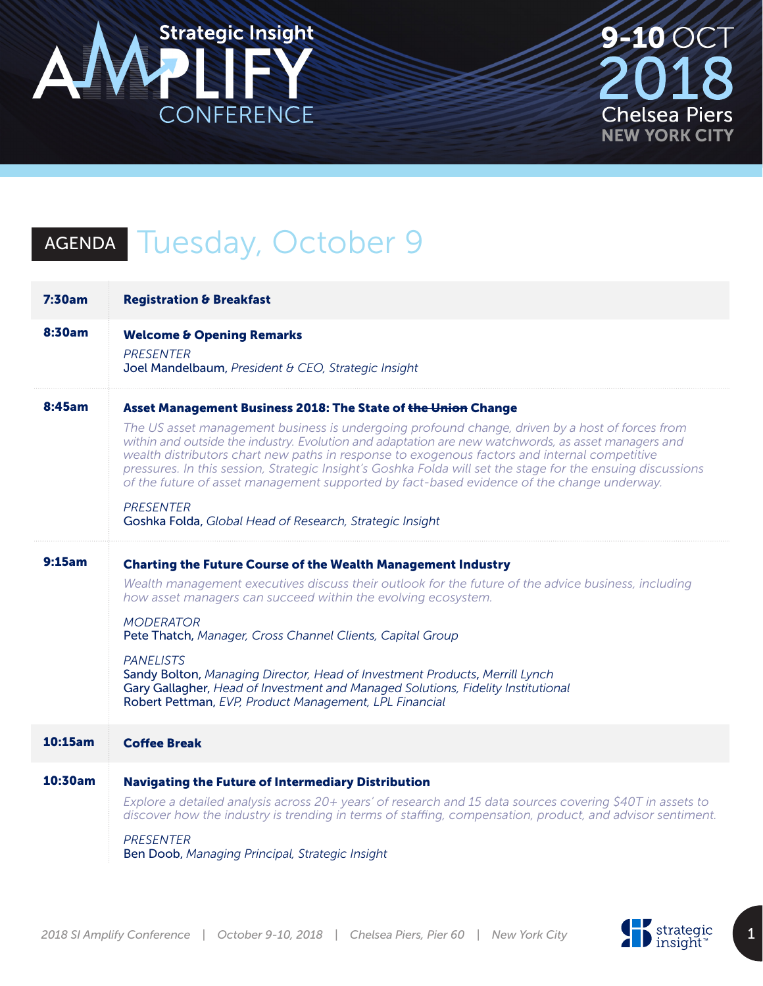

**9-10 OCT** 1 I **Chelsea Piers NEW YORK CITY** 

## AGENDA Tuesday, October 9

| 7:30am  | <b>Registration &amp; Breakfast</b>                                                                                                                                                                                                                                                                                                                                                                                                                                                                                                                                                                                                                                   |
|---------|-----------------------------------------------------------------------------------------------------------------------------------------------------------------------------------------------------------------------------------------------------------------------------------------------------------------------------------------------------------------------------------------------------------------------------------------------------------------------------------------------------------------------------------------------------------------------------------------------------------------------------------------------------------------------|
| 8:30am  | <b>Welcome &amp; Opening Remarks</b><br><b>PRESENTER</b><br>Joel Mandelbaum, President & CEO, Strategic Insight                                                                                                                                                                                                                                                                                                                                                                                                                                                                                                                                                       |
| 8:45am  | Asset Management Business 2018: The State of the Union Change<br>The US asset management business is undergoing profound change, driven by a host of forces from<br>within and outside the industry. Evolution and adaptation are new watchwords, as asset managers and<br>wealth distributors chart new paths in response to exogenous factors and internal competitive<br>pressures. In this session, Strategic Insight's Goshka Folda will set the stage for the ensuing discussions<br>of the future of asset management supported by fact-based evidence of the change underway.<br><b>PRESENTER</b><br>Goshka Folda, Global Head of Research, Strategic Insight |
| 9:15am  | <b>Charting the Future Course of the Wealth Management Industry</b><br>Wealth management executives discuss their outlook for the future of the advice business, including<br>how asset managers can succeed within the evolving ecosystem.<br><b>MODERATOR</b><br>Pete Thatch, Manager, Cross Channel Clients, Capital Group<br><b>PANELISTS</b><br>Sandy Bolton, Managing Director, Head of Investment Products, Merrill Lynch<br>Gary Gallagher, Head of Investment and Managed Solutions, Fidelity Institutional<br>Robert Pettman, EVP, Product Management, LPL Financial                                                                                        |
| 10:15am | <b>Coffee Break</b>                                                                                                                                                                                                                                                                                                                                                                                                                                                                                                                                                                                                                                                   |
| 10:30am | <b>Navigating the Future of Intermediary Distribution</b><br>Explore a detailed analysis across 20+ years' of research and 15 data sources covering \$40T in assets to<br>discover how the industry is trending in terms of staffing, compensation, product, and advisor sentiment.<br><b>PRESENTER</b><br>Ben Doob, Managing Principal, Strategic Insight                                                                                                                                                                                                                                                                                                            |

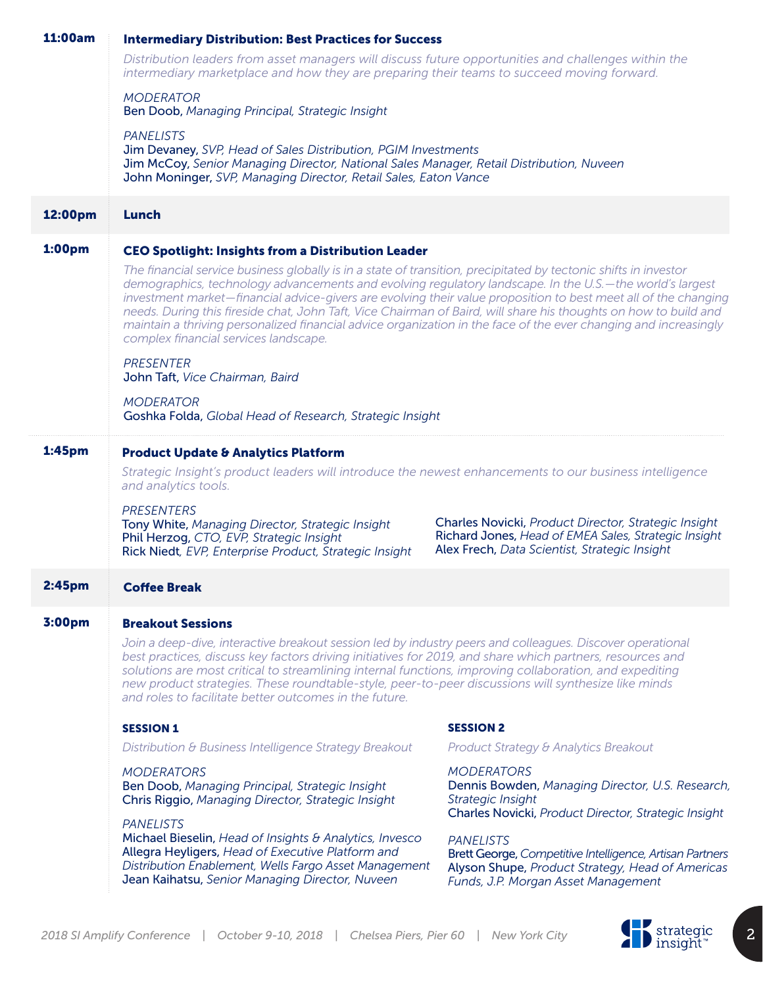| 11:00am            | <b>Intermediary Distribution: Best Practices for Success</b>                                                                                                                                                                                                                                                                                                                                                                                                                                                                                                                                                                     |                                                                                                                                                               |
|--------------------|----------------------------------------------------------------------------------------------------------------------------------------------------------------------------------------------------------------------------------------------------------------------------------------------------------------------------------------------------------------------------------------------------------------------------------------------------------------------------------------------------------------------------------------------------------------------------------------------------------------------------------|---------------------------------------------------------------------------------------------------------------------------------------------------------------|
|                    | Distribution leaders from asset managers will discuss future opportunities and challenges within the<br>intermediary marketplace and how they are preparing their teams to succeed moving forward.                                                                                                                                                                                                                                                                                                                                                                                                                               |                                                                                                                                                               |
|                    | <b>MODERATOR</b><br>Ben Doob, Managing Principal, Strategic Insight                                                                                                                                                                                                                                                                                                                                                                                                                                                                                                                                                              |                                                                                                                                                               |
|                    | <b>PANELISTS</b><br>Jim Devaney, SVP, Head of Sales Distribution, PGIM Investments<br>Jim McCoy, Senior Managing Director, National Sales Manager, Retail Distribution, Nuveen<br>John Moninger, SVP, Managing Director, Retail Sales, Eaton Vance                                                                                                                                                                                                                                                                                                                                                                               |                                                                                                                                                               |
| 12:00pm            | <b>Lunch</b>                                                                                                                                                                                                                                                                                                                                                                                                                                                                                                                                                                                                                     |                                                                                                                                                               |
| <b>1:00pm</b>      | <b>CEO Spotlight: Insights from a Distribution Leader</b>                                                                                                                                                                                                                                                                                                                                                                                                                                                                                                                                                                        |                                                                                                                                                               |
|                    | The financial service business globally is in a state of transition, precipitated by tectonic shifts in investor<br>demographics, technology advancements and evolving regulatory landscape. In the U.S.-the world's largest<br>investment market—financial advice-givers are evolving their value proposition to best meet all of the changing<br>needs. During this fireside chat, John Taft, Vice Chairman of Baird, will share his thoughts on how to build and<br>maintain a thriving personalized financial advice organization in the face of the ever changing and increasingly<br>complex financial services landscape. |                                                                                                                                                               |
|                    | <b>PRESENTER</b><br>John Taft, Vice Chairman, Baird                                                                                                                                                                                                                                                                                                                                                                                                                                                                                                                                                                              |                                                                                                                                                               |
|                    | <b>MODERATOR</b><br>Goshka Folda, Global Head of Research, Strategic Insight                                                                                                                                                                                                                                                                                                                                                                                                                                                                                                                                                     |                                                                                                                                                               |
| 1:45 <sub>pm</sub> | <b>Product Update &amp; Analytics Platform</b>                                                                                                                                                                                                                                                                                                                                                                                                                                                                                                                                                                                   |                                                                                                                                                               |
|                    | Strategic Insight's product leaders will introduce the newest enhancements to our business intelligence<br>and analytics tools.                                                                                                                                                                                                                                                                                                                                                                                                                                                                                                  |                                                                                                                                                               |
|                    | <b>PRESENTERS</b><br>Tony White, Managing Director, Strategic Insight<br>Phil Herzog, CTO, EVP, Strategic Insight<br>Rick Niedt, EVP, Enterprise Product, Strategic Insight                                                                                                                                                                                                                                                                                                                                                                                                                                                      | Charles Novicki, Product Director, Strategic Insight<br>Richard Jones, Head of EMEA Sales, Strategic Insight<br>Alex Frech, Data Scientist, Strategic Insight |
| 2:45 <sub>pm</sub> | <b>Coffee Break</b>                                                                                                                                                                                                                                                                                                                                                                                                                                                                                                                                                                                                              |                                                                                                                                                               |
| 3:00pm             | <b>Breakout Sessions</b>                                                                                                                                                                                                                                                                                                                                                                                                                                                                                                                                                                                                         |                                                                                                                                                               |
|                    | Join a deep-dive, interactive breakout session led by industry peers and colleagues. Discover operational<br>best practices, discuss key factors driving initiatives for 2019, and share which partners, resources and<br>solutions are most critical to streamlining internal functions, improving collaboration, and expediting<br>new product strategies. These roundtable-style, peer-to-peer discussions will synthesize like minds<br>and roles to facilitate better outcomes in the future.                                                                                                                               |                                                                                                                                                               |
|                    | <b>SESSION 1</b>                                                                                                                                                                                                                                                                                                                                                                                                                                                                                                                                                                                                                 | <b>SESSION 2</b>                                                                                                                                              |
|                    | Distribution & Business Intelligence Strategy Breakout                                                                                                                                                                                                                                                                                                                                                                                                                                                                                                                                                                           | Product Strategy & Analytics Breakout                                                                                                                         |
|                    | <b>MODERATORS</b><br>Ben Doob, Managing Principal, Strategic Insight<br>Chris Riggio, Managing Director, Strategic Insight                                                                                                                                                                                                                                                                                                                                                                                                                                                                                                       | <b>MODERATORS</b><br>Dennis Bowden, Managing Director, U.S. Research,<br>Strategic Insight<br>Charles Novicki, Product Director, Strategic Insight            |
|                    | <b>PANELISTS</b><br>Michael Bieselin, Head of Insights & Analytics, Invesco                                                                                                                                                                                                                                                                                                                                                                                                                                                                                                                                                      | <b>PANELISTS</b>                                                                                                                                              |

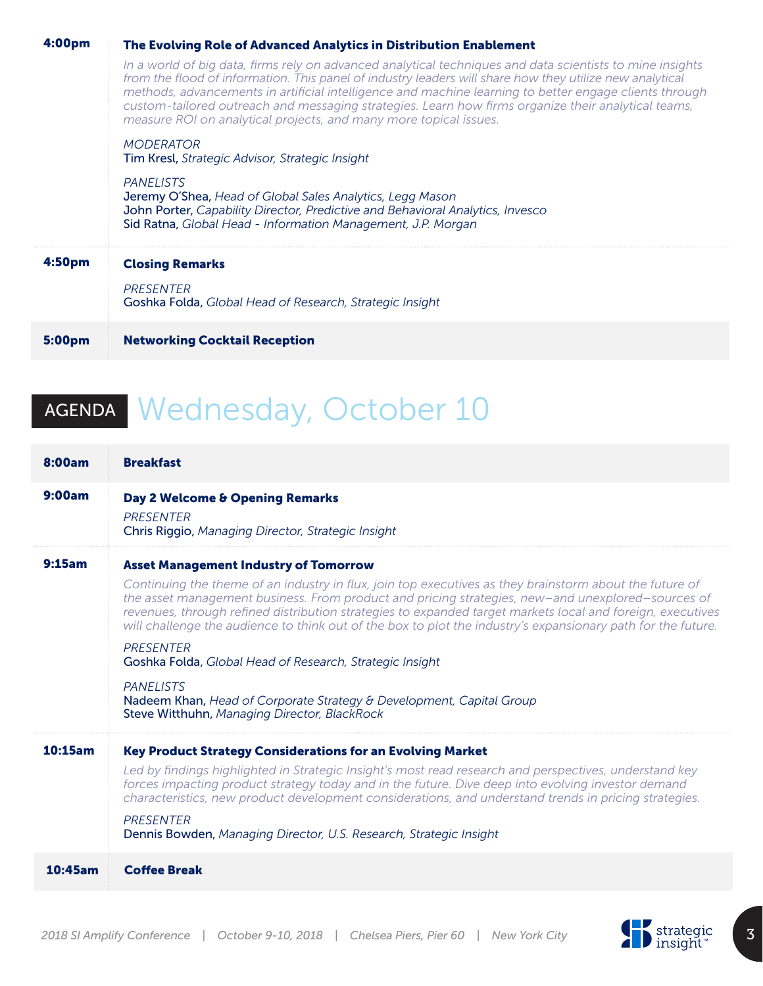| In a world of big data, firms rely on advanced analytical techniques and data scientists to mine insights<br>from the flood of information. This panel of industry leaders will share how they utilize new analytical<br>methods, advancements in artificial intelligence and machine learning to better engage clients through<br>custom-tailored outreach and messaging strategies. Learn how firms organize their analytical teams,<br>measure ROI on analytical projects, and many more topical issues.<br><b>MODERATOR</b> |  |
|---------------------------------------------------------------------------------------------------------------------------------------------------------------------------------------------------------------------------------------------------------------------------------------------------------------------------------------------------------------------------------------------------------------------------------------------------------------------------------------------------------------------------------|--|
|                                                                                                                                                                                                                                                                                                                                                                                                                                                                                                                                 |  |
| <b>Tim Kresl</b> , Strategic Advisor, Strategic Insight                                                                                                                                                                                                                                                                                                                                                                                                                                                                         |  |
| PANELISTS<br><b>Jeremy O'Shea, Head of Global Sales Analytics, Legg Mason</b><br>John Porter, Capability Director, Predictive and Behavioral Analytics, Invesco<br>Sid Ratna, Global Head - Information Management, J.P. Morgan                                                                                                                                                                                                                                                                                                 |  |
| 4:50 <sub>pm</sub><br><b>Closing Remarks</b>                                                                                                                                                                                                                                                                                                                                                                                                                                                                                    |  |
| PRESENTER<br>Goshka Folda, Global Head of Research, Strategic Insight                                                                                                                                                                                                                                                                                                                                                                                                                                                           |  |
| <b>Networking Cocktail Reception</b><br>5:00pm                                                                                                                                                                                                                                                                                                                                                                                                                                                                                  |  |

## AGENDA Wednesday, October 10

| 8:00am  | <b>Breakfast</b>                                                                                                                                                                                                                                                                                                                                                                                                                                                                                                                                                                                                                                                                                                       |
|---------|------------------------------------------------------------------------------------------------------------------------------------------------------------------------------------------------------------------------------------------------------------------------------------------------------------------------------------------------------------------------------------------------------------------------------------------------------------------------------------------------------------------------------------------------------------------------------------------------------------------------------------------------------------------------------------------------------------------------|
| 9:00am  | Day 2 Welcome & Opening Remarks<br>PRESENTER<br>Chris Riggio, Managing Director, Strategic Insight                                                                                                                                                                                                                                                                                                                                                                                                                                                                                                                                                                                                                     |
| 9:15am  | <b>Asset Management Industry of Tomorrow</b><br>Continuing the theme of an industry in flux, join top executives as they brainstorm about the future of<br>the asset management business. From product and pricing strategies, new-and unexplored-sources of<br>revenues, through refined distribution strategies to expanded target markets local and foreign, executives<br>will challenge the audience to think out of the box to plot the industry's expansionary path for the future.<br><b>PRESENTER</b><br>Goshka Folda, Global Head of Research, Strategic Insight<br><b>PANELISTS</b><br>Nadeem Khan, Head of Corporate Strategy & Development, Capital Group<br>Steve Witthuhn, Managing Director, BlackRock |
| 10:15am | <b>Key Product Strategy Considerations for an Evolving Market</b><br>Led by findings highlighted in Strategic Insight's most read research and perspectives, understand key<br>forces impacting product strategy today and in the future. Dive deep into evolving investor demand<br>characteristics, new product development considerations, and understand trends in pricing strategies.<br><b>PRESENTER</b><br>Dennis Bowden, Managing Director, U.S. Research, Strategic Insight                                                                                                                                                                                                                                   |
| 10:45am | <b>Coffee Break</b>                                                                                                                                                                                                                                                                                                                                                                                                                                                                                                                                                                                                                                                                                                    |